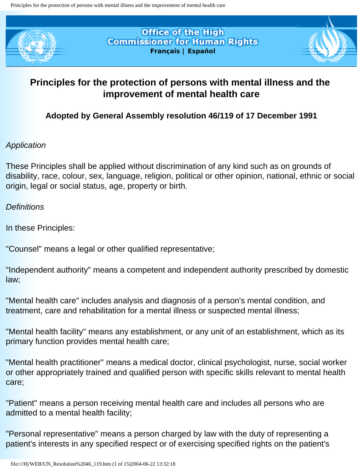

**Office of the High Commissioner for Human Rights Français | Español**



# **Principles for the protection of persons with mental illness and the improvement of mental health care**

# **Adopted by General Assembly resolution 46/119 of 17 December 1991**

# *Application*

These Principles shall be applied without discrimination of any kind such as on grounds of disability, race, colour, sex, language, religion, political or other opinion, national, ethnic or social origin, legal or social status, age, property or birth.

*Definitions*

In these Principles:

"Counsel" means a legal or other qualified representative;

"Independent authority" means a competent and independent authority prescribed by domestic law;

"Mental health care" includes analysis and diagnosis of a person's mental condition, and treatment, care and rehabilitation for a mental illness or suspected mental illness;

"Mental health facility'' means any establishment, or any unit of an establishment, which as its primary function provides mental health care;

"Mental health practitioner'' means a medical doctor, clinical psychologist, nurse, social worker or other appropriately trained and qualified person with specific skills relevant to mental health care;

"Patient" means a person receiving mental health care and includes all persons who are admitted to a mental health facility;

"Personal representative" means a person charged by law with the duty of representing a patient's interests in any specified respect or of exercising specified rights on the patient's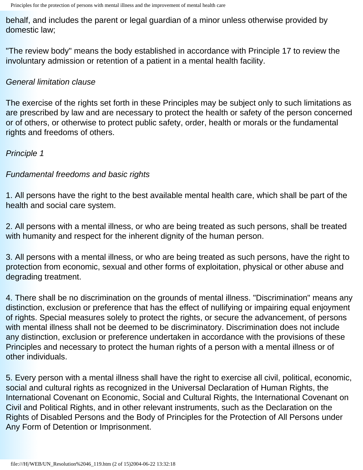behalf, and includes the parent or legal guardian of a minor unless otherwise provided by domestic law;

"The review body" means the body established in accordance with Principle 17 to review the involuntary admission or retention of a patient in a mental health facility.

#### *General limitation clause*

The exercise of the rights set forth in these Principles may be subject only to such limitations as are prescribed by law and are necessary to protect the health or safety of the person concerned or of others, or otherwise to protect public safety, order, health or morals or the fundamental rights and freedoms of others.

#### *Principle 1*

#### *Fundamental freedoms and basic rights*

1. All persons have the right to the best available mental health care, which shall be part of the health and social care system.

2. All persons with a mental illness, or who are being treated as such persons, shall be treated with humanity and respect for the inherent dignity of the human person.

3. All persons with a mental illness, or who are being treated as such persons, have the right to protection from economic, sexual and other forms of exploitation, physical or other abuse and degrading treatment.

4. There shall be no discrimination on the grounds of mental illness. "Discrimination" means any distinction, exclusion or preference that has the effect of nullifying or impairing equal enjoyment of rights. Special measures solely to protect the rights, or secure the advancement, of persons with mental illness shall not be deemed to be discriminatory. Discrimination does not include any distinction, exclusion or preference undertaken in accordance with the provisions of these Principles and necessary to protect the human rights of a person with a mental illness or of other individuals.

5. Every person with a mental illness shall have the right to exercise all civil, political, economic, social and cultural rights as recognized in the Universal Declaration of Human Rights, the International Covenant on Economic, Social and Cultural Rights, the International Covenant on Civil and Political Rights, and in other relevant instruments, such as the Declaration on the Rights of Disabled Persons and the Body of Principles for the Protection of All Persons under Any Form of Detention or Imprisonment.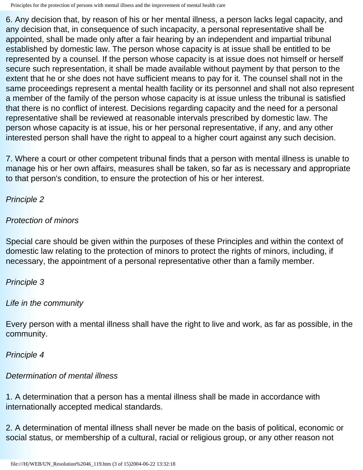6. Any decision that, by reason of his or her mental illness, a person lacks legal capacity, and any decision that, in consequence of such incapacity, a personal representative shall be appointed, shall be made only after a fair hearing by an independent and impartial tribunal established by domestic law. The person whose capacity is at issue shall be entitled to be represented by a counsel. If the person whose capacity is at issue does not himself or herself secure such representation, it shall be made available without payment by that person to the extent that he or she does not have sufficient means to pay for it. The counsel shall not in the same proceedings represent a mental health facility or its personnel and shall not also represent a member of the family of the person whose capacity is at issue unless the tribunal is satisfied that there is no conflict of interest. Decisions regarding capacity and the need for a personal representative shall be reviewed at reasonable intervals prescribed by domestic law. The person whose capacity is at issue, his or her personal representative, if any, and any other interested person shall have the right to appeal to a higher court against any such decision.

7. Where a court or other competent tribunal finds that a person with mental illness is unable to manage his or her own affairs, measures shall be taken, so far as is necessary and appropriate to that person's condition, to ensure the protection of his or her interest.

# *Principle 2*

# *Protection of minors*

Special care should be given within the purposes of these Principles and within the context of domestic law relating to the protection of minors to protect the rights of minors, including, if necessary, the appointment of a personal representative other than a family member.

# *Principle 3*

## *Life in the community*

Every person with a mental illness shall have the right to live and work, as far as possible, in the community.

## *Principle 4*

# *Determination of mental illness*

1. A determination that a person has a mental illness shall be made in accordance with internationally accepted medical standards.

2. A determination of mental illness shall never be made on the basis of political, economic or social status, or membership of a cultural, racial or religious group, or any other reason not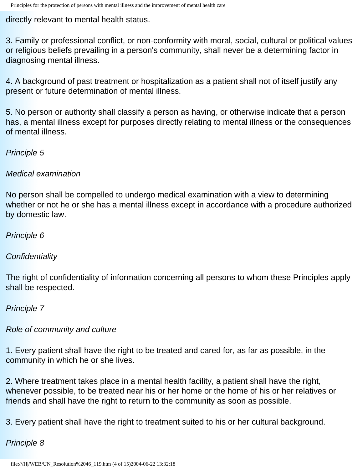directly relevant to mental health status.

3. Family or professional conflict, or non-conformity with moral, social, cultural or political values or religious beliefs prevailing in a person's community, shall never be a determining factor in diagnosing mental illness.

4. A background of past treatment or hospitalization as a patient shall not of itself justify any present or future determination of mental illness.

5. No person or authority shall classify a person as having, or otherwise indicate that a person has, a mental illness except for purposes directly relating to mental illness or the consequences of mental illness.

# *Principle 5*

#### *Medical examination*

No person shall be compelled to undergo medical examination with a view to determining whether or not he or she has a mental illness except in accordance with a procedure authorized by domestic law.

#### *Principle 6*

## *Confidentiality*

The right of confidentiality of information concerning all persons to whom these Principles apply shall be respected.

#### *Principle 7*

#### *Role of community and culture*

1. Every patient shall have the right to be treated and cared for, as far as possible, in the community in which he or she lives.

2. Where treatment takes place in a mental health facility, a patient shall have the right, whenever possible, to be treated near his or her home or the home of his or her relatives or friends and shall have the right to return to the community as soon as possible.

3. Every patient shall have the right to treatment suited to his or her cultural background.

## *Principle 8*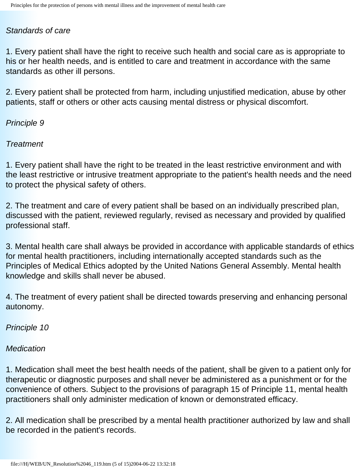#### *Standards of care*

1. Every patient shall have the right to receive such health and social care as is appropriate to his or her health needs, and is entitled to care and treatment in accordance with the same standards as other ill persons.

2. Every patient shall be protected from harm, including unjustified medication, abuse by other patients, staff or others or other acts causing mental distress or physical discomfort.

#### *Principle 9*

#### *Treatment*

1. Every patient shall have the right to be treated in the least restrictive environment and with the least restrictive or intrusive treatment appropriate to the patient's health needs and the need to protect the physical safety of others.

2. The treatment and care of every patient shall be based on an individually prescribed plan, discussed with the patient, reviewed regularly, revised as necessary and provided by qualified professional staff.

3. Mental health care shall always be provided in accordance with applicable standards of ethics for mental health practitioners, including internationally accepted standards such as the Principles of Medical Ethics adopted by the United Nations General Assembly. Mental health knowledge and skills shall never be abused.

4. The treatment of every patient shall be directed towards preserving and enhancing personal autonomy.

#### *Principle 10*

#### *Medication*

1. Medication shall meet the best health needs of the patient, shall be given to a patient only for therapeutic or diagnostic purposes and shall never be administered as a punishment or for the convenience of others. Subject to the provisions of paragraph 15 of Principle 11, mental health practitioners shall only administer medication of known or demonstrated efficacy.

2. All medication shall be prescribed by a mental health practitioner authorized by law and shall be recorded in the patient's records.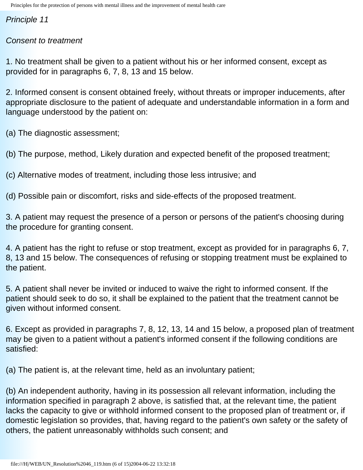Principles for the protection of persons with mental illness and the improvement of mental health care

*Principle 11*

## *Consent to treatment*

1. No treatment shall be given to a patient without his or her informed consent, except as provided for in paragraphs 6, 7, 8, 13 and 15 below.

2. Informed consent is consent obtained freely, without threats or improper inducements, after appropriate disclosure to the patient of adequate and understandable information in a form and language understood by the patient on:

(a) The diagnostic assessment;

(b) The purpose, method, Likely duration and expected benefit of the proposed treatment;

(c) Alternative modes of treatment, including those less intrusive; and

(d) Possible pain or discomfort, risks and side-effects of the proposed treatment.

3. A patient may request the presence of a person or persons of the patient's choosing during the procedure for granting consent.

4. A patient has the right to refuse or stop treatment, except as provided for in paragraphs 6, 7, 8, 13 and 15 below. The consequences of refusing or stopping treatment must be explained to the patient.

5. A patient shall never be invited or induced to waive the right to informed consent. If the patient should seek to do so, it shall be explained to the patient that the treatment cannot be given without informed consent.

6. Except as provided in paragraphs 7, 8, 12, 13, 14 and 15 below, a proposed plan of treatment may be given to a patient without a patient's informed consent if the following conditions are satisfied:

(a) The patient is, at the relevant time, held as an involuntary patient;

(b) An independent authority, having in its possession all relevant information, including the information specified in paragraph 2 above, is satisfied that, at the relevant time, the patient lacks the capacity to give or withhold informed consent to the proposed plan of treatment or, if domestic legislation so provides, that, having regard to the patient's own safety or the safety of others, the patient unreasonably withholds such consent; and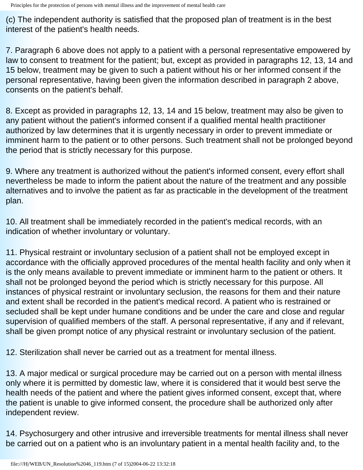(c) The independent authority is satisfied that the proposed plan of treatment is in the best interest of the patient's health needs.

7. Paragraph 6 above does not apply to a patient with a personal representative empowered by law to consent to treatment for the patient; but, except as provided in paragraphs 12, 13, 14 and 15 below, treatment may be given to such a patient without his or her informed consent if the personal representative, having been given the information described in paragraph 2 above, consents on the patient's behalf.

8. Except as provided in paragraphs 12, 13, 14 and 15 below, treatment may also be given to any patient without the patient's informed consent if a qualified mental health practitioner authorized by law determines that it is urgently necessary in order to prevent immediate or imminent harm to the patient or to other persons. Such treatment shall not be prolonged beyond the period that is strictly necessary for this purpose.

9. Where any treatment is authorized without the patient's informed consent, every effort shall nevertheless be made to inform the patient about the nature of the treatment and any possible alternatives and to involve the patient as far as practicable in the development of the treatment plan.

10. All treatment shall be immediately recorded in the patient's medical records, with an indication of whether involuntary or voluntary.

11. Physical restraint or involuntary seclusion of a patient shall not be employed except in accordance with the officially approved procedures of the mental health facility and only when it is the only means available to prevent immediate or imminent harm to the patient or others. It shall not be prolonged beyond the period which is strictly necessary for this purpose. All instances of physical restraint or involuntary seclusion, the reasons for them and their nature and extent shall be recorded in the patient's medical record. A patient who is restrained or secluded shall be kept under humane conditions and be under the care and close and regular supervision of qualified members of the staff. A personal representative, if any and if relevant, shall be given prompt notice of any physical restraint or involuntary seclusion of the patient.

12. Sterilization shall never be carried out as a treatment for mental illness.

13. A major medical or surgical procedure may be carried out on a person with mental illness only where it is permitted by domestic law, where it is considered that it would best serve the health needs of the patient and where the patient gives informed consent, except that, where the patient is unable to give informed consent, the procedure shall be authorized only after independent review.

14. Psychosurgery and other intrusive and irreversible treatments for mental illness shall never be carried out on a patient who is an involuntary patient in a mental health facility and, to the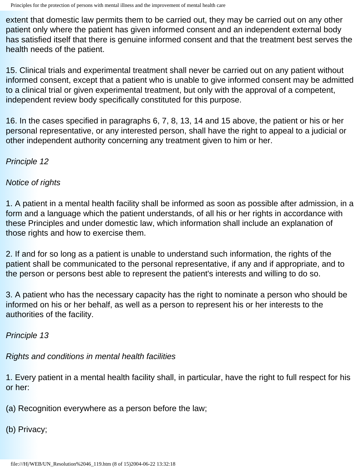extent that domestic law permits them to be carried out, they may be carried out on any other patient only where the patient has given informed consent and an independent external body has satisfied itself that there is genuine informed consent and that the treatment best serves the health needs of the patient.

15. Clinical trials and experimental treatment shall never be carried out on any patient without informed consent, except that a patient who is unable to give informed consent may be admitted to a clinical trial or given experimental treatment, but only with the approval of a competent, independent review body specifically constituted for this purpose.

16. In the cases specified in paragraphs 6, 7, 8, 13, 14 and 15 above, the patient or his or her personal representative, or any interested person, shall have the right to appeal to a judicial or other independent authority concerning any treatment given to him or her.

*Principle 12*

# *Notice of rights*

1. A patient in a mental health facility shall be informed as soon as possible after admission, in a form and a language which the patient understands, of all his or her rights in accordance with these Principles and under domestic law, which information shall include an explanation of those rights and how to exercise them.

2. If and for so long as a patient is unable to understand such information, the rights of the patient shall be communicated to the personal representative, if any and if appropriate, and to the person or persons best able to represent the patient's interests and willing to do so.

3. A patient who has the necessary capacity has the right to nominate a person who should be informed on his or her behalf, as well as a person to represent his or her interests to the authorities of the facility.

*Principle 13*

*Rights and conditions in mental health facilities*

1. Every patient in a mental health facility shall, in particular, have the right to full respect for his or her:

(a) Recognition everywhere as a person before the law;

(b) Privacy;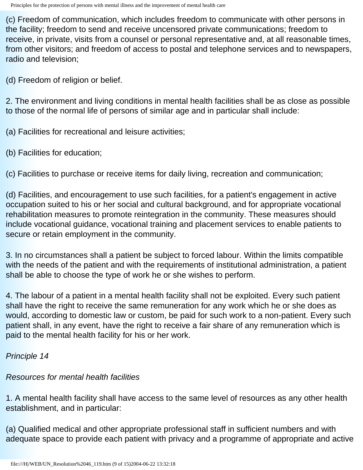(c) Freedom of communication, which includes freedom to communicate with other persons in the facility; freedom to send and receive uncensored private communications; freedom to receive, in private, visits from a counsel or personal representative and, at all reasonable times, from other visitors; and freedom of access to postal and telephone services and to newspapers, radio and television;

(d) Freedom of religion or belief.

2. The environment and living conditions in mental health facilities shall be as close as possible to those of the normal life of persons of similar age and in particular shall include:

(a) Facilities for recreational and leisure activities;

(b) Facilities for education;

(c) Facilities to purchase or receive items for daily living, recreation and communication;

(d) Facilities, and encouragement to use such facilities, for a patient's engagement in active occupation suited to his or her social and cultural background, and for appropriate vocational rehabilitation measures to promote reintegration in the community. These measures should include vocational guidance, vocational training and placement services to enable patients to secure or retain employment in the community.

3. In no circumstances shall a patient be subject to forced labour. Within the limits compatible with the needs of the patient and with the requirements of institutional administration, a patient shall be able to choose the type of work he or she wishes to perform.

4. The labour of a patient in a mental health facility shall not be exploited. Every such patient shall have the right to receive the same remuneration for any work which he or she does as would, according to domestic law or custom, be paid for such work to a non-patient. Every such patient shall, in any event, have the right to receive a fair share of any remuneration which is paid to the mental health facility for his or her work.

## *Principle 14*

# *Resources for mental health facilities*

1. A mental health facility shall have access to the same level of resources as any other health establishment, and in particular:

(a) Qualified medical and other appropriate professional staff in sufficient numbers and with adequate space to provide each patient with privacy and a programme of appropriate and active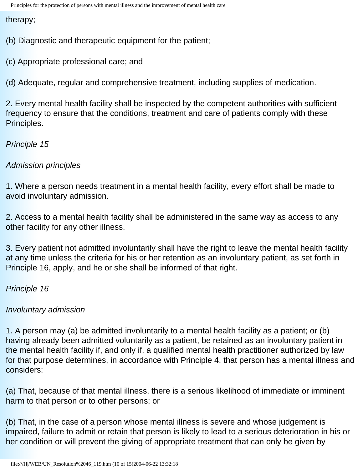therapy;

(b) Diagnostic and therapeutic equipment for the patient;

(c) Appropriate professional care; and

(d) Adequate, regular and comprehensive treatment, including supplies of medication.

2. Every mental health facility shall be inspected by the competent authorities with sufficient frequency to ensure that the conditions, treatment and care of patients comply with these Principles.

# *Principle 15*

# *Admission principles*

1. Where a person needs treatment in a mental health facility, every effort shall be made to avoid involuntary admission.

2. Access to a mental health facility shall be administered in the same way as access to any other facility for any other illness.

3. Every patient not admitted involuntarily shall have the right to leave the mental health facility at any time unless the criteria for his or her retention as an involuntary patient, as set forth in Principle 16, apply, and he or she shall be informed of that right.

## *Principle 16*

## *Involuntary admission*

1. A person may (a) be admitted involuntarily to a mental health facility as a patient; or (b) having already been admitted voluntarily as a patient, be retained as an involuntary patient in the mental health facility if, and only if, a qualified mental health practitioner authorized by law for that purpose determines, in accordance with Principle 4, that person has a mental illness and considers:

(a) That, because of that mental illness, there is a serious likelihood of immediate or imminent harm to that person or to other persons; or

(b) That, in the case of a person whose mental illness is severe and whose judgement is impaired, failure to admit or retain that person is likely to lead to a serious deterioration in his or her condition or will prevent the giving of appropriate treatment that can only be given by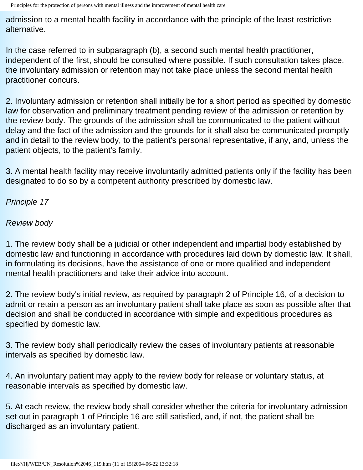admission to a mental health facility in accordance with the principle of the least restrictive alternative.

In the case referred to in subparagraph (b), a second such mental health practitioner, independent of the first, should be consulted where possible. If such consultation takes place, the involuntary admission or retention may not take place unless the second mental health practitioner concurs.

2. Involuntary admission or retention shall initially be for a short period as specified by domestic law for observation and preliminary treatment pending review of the admission or retention by the review body. The grounds of the admission shall be communicated to the patient without delay and the fact of the admission and the grounds for it shall also be communicated promptly and in detail to the review body, to the patient's personal representative, if any, and, unless the patient objects, to the patient's family.

3. A mental health facility may receive involuntarily admitted patients only if the facility has been designated to do so by a competent authority prescribed by domestic law.

*Principle 17*

# *Review body*

1. The review body shall be a judicial or other independent and impartial body established by domestic law and functioning in accordance with procedures laid down by domestic law. It shall, in formulating its decisions, have the assistance of one or more qualified and independent mental health practitioners and take their advice into account.

2. The review body's initial review, as required by paragraph 2 of Principle 16, of a decision to admit or retain a person as an involuntary patient shall take place as soon as possible after that decision and shall be conducted in accordance with simple and expeditious procedures as specified by domestic law.

3. The review body shall periodically review the cases of involuntary patients at reasonable intervals as specified by domestic law.

4. An involuntary patient may apply to the review body for release or voluntary status, at reasonable intervals as specified by domestic law.

5. At each review, the review body shall consider whether the criteria for involuntary admission set out in paragraph 1 of Principle 16 are still satisfied, and, if not, the patient shall be discharged as an involuntary patient.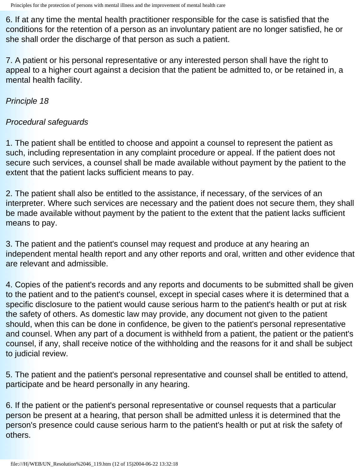6. If at any time the mental health practitioner responsible for the case is satisfied that the conditions for the retention of a person as an involuntary patient are no longer satisfied, he or she shall order the discharge of that person as such a patient.

7. A patient or his personal representative or any interested person shall have the right to appeal to a higher court against a decision that the patient be admitted to, or be retained in, a mental health facility.

# *Principle 18*

# *Procedural safeguards*

1. The patient shall be entitled to choose and appoint a counsel to represent the patient as such, including representation in any complaint procedure or appeal. If the patient does not secure such services, a counsel shall be made available without payment by the patient to the extent that the patient lacks sufficient means to pay.

2. The patient shall also be entitled to the assistance, if necessary, of the services of an interpreter. Where such services are necessary and the patient does not secure them, they shall be made available without payment by the patient to the extent that the patient lacks sufficient means to pay.

3. The patient and the patient's counsel may request and produce at any hearing an independent mental health report and any other reports and oral, written and other evidence that are relevant and admissible.

4. Copies of the patient's records and any reports and documents to be submitted shall be given to the patient and to the patient's counsel, except in special cases where it is determined that a specific disclosure to the patient would cause serious harm to the patient's health or put at risk the safety of others. As domestic law may provide, any document not given to the patient should, when this can be done in confidence, be given to the patient's personal representative and counsel. When any part of a document is withheld from a patient, the patient or the patient's counsel, if any, shall receive notice of the withholding and the reasons for it and shall be subject to judicial review.

5. The patient and the patient's personal representative and counsel shall be entitled to attend, participate and be heard personally in any hearing.

6. If the patient or the patient's personal representative or counsel requests that a particular person be present at a hearing, that person shall be admitted unless it is determined that the person's presence could cause serious harm to the patient's health or put at risk the safety of others.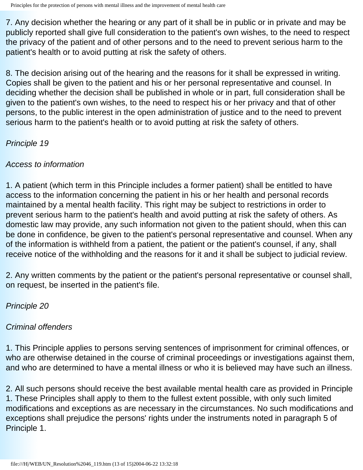7. Any decision whether the hearing or any part of it shall be in public or in private and may be publicly reported shall give full consideration to the patient's own wishes, to the need to respect the privacy of the patient and of other persons and to the need to prevent serious harm to the patient's health or to avoid putting at risk the safety of others.

8. The decision arising out of the hearing and the reasons for it shall be expressed in writing. Copies shall be given to the patient and his or her personal representative and counsel. In deciding whether the decision shall be published in whole or in part, full consideration shall be given to the patient's own wishes, to the need to respect his or her privacy and that of other persons, to the public interest in the open administration of justice and to the need to prevent serious harm to the patient's health or to avoid putting at risk the safety of others.

# *Principle 19*

# *Access to information*

1. A patient (which term in this Principle includes a former patient) shall be entitled to have access to the information concerning the patient in his or her health and personal records maintained by a mental health facility. This right may be subject to restrictions in order to prevent serious harm to the patient's health and avoid putting at risk the safety of others. As domestic law may provide, any such information not given to the patient should, when this can be done in confidence, be given to the patient's personal representative and counsel. When any of the information is withheld from a patient, the patient or the patient's counsel, if any, shall receive notice of the withholding and the reasons for it and it shall be subject to judicial review.

2. Any written comments by the patient or the patient's personal representative or counsel shall, on request, be inserted in the patient's file.

# *Principle 20*

# *Criminal offenders*

1. This Principle applies to persons serving sentences of imprisonment for criminal offences, or who are otherwise detained in the course of criminal proceedings or investigations against them, and who are determined to have a mental illness or who it is believed may have such an illness.

2. All such persons should receive the best available mental health care as provided in Principle 1. These Principles shall apply to them to the fullest extent possible, with only such limited modifications and exceptions as are necessary in the circumstances. No such modifications and exceptions shall prejudice the persons' rights under the instruments noted in paragraph 5 of Principle 1.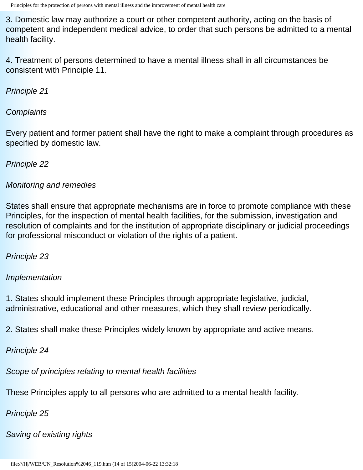3. Domestic law may authorize a court or other competent authority, acting on the basis of competent and independent medical advice, to order that such persons be admitted to a mental health facility.

4. Treatment of persons determined to have a mental illness shall in all circumstances be consistent with Principle 11.

*Principle 21*

#### *Complaints*

Every patient and former patient shall have the right to make a complaint through procedures as specified by domestic law.

# *Principle 22*

## *Monitoring and remedies*

States shall ensure that appropriate mechanisms are in force to promote compliance with these Principles, for the inspection of mental health facilities, for the submission, investigation and resolution of complaints and for the institution of appropriate disciplinary or judicial proceedings for professional misconduct or violation of the rights of a patient.

*Principle 23*

## *Implementation*

1. States should implement these Principles through appropriate legislative, judicial, administrative, educational and other measures, which they shall review periodically.

2. States shall make these Principles widely known by appropriate and active means.

## *Principle 24*

*Scope of principles relating to mental health facilities*

These Principles apply to all persons who are admitted to a mental health facility.

# *Principle 25*

*Saving of existing rights*